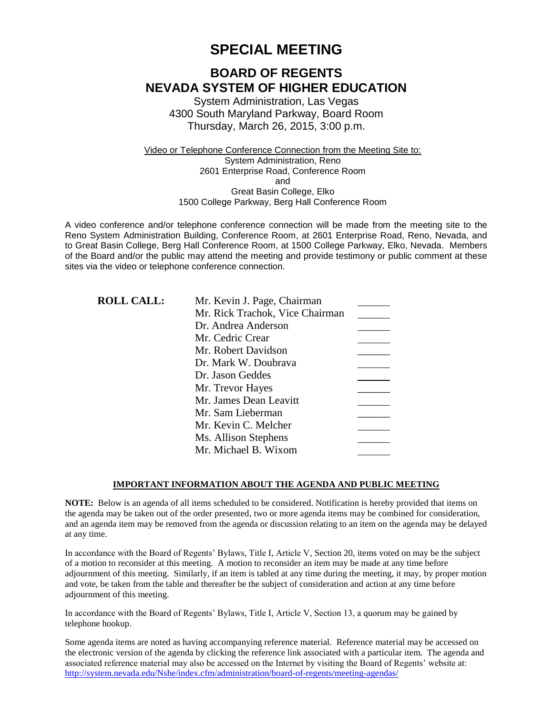# **SPECIAL MEETING**

# **BOARD OF REGENTS NEVADA SYSTEM OF HIGHER EDUCATION**

System Administration, Las Vegas 4300 South Maryland Parkway, Board Room Thursday, March 26, 2015, 3:00 p.m.

Video or Telephone Conference Connection from the Meeting Site to: System Administration, Reno 2601 Enterprise Road, Conference Room and Great Basin College, Elko 1500 College Parkway, Berg Hall Conference Room

A video conference and/or telephone conference connection will be made from the meeting site to the Reno System Administration Building, Conference Room, at 2601 Enterprise Road, Reno, Nevada, and to Great Basin College, Berg Hall Conference Room, at 1500 College Parkway, Elko, Nevada. Members of the Board and/or the public may attend the meeting and provide testimony or public comment at these sites via the video or telephone conference connection.

| <b>ROLL CALL:</b> | Mr. Kevin J. Page, Chairman     |  |
|-------------------|---------------------------------|--|
|                   | Mr. Rick Trachok, Vice Chairman |  |
|                   | Dr. Andrea Anderson             |  |
|                   | Mr. Cedric Crear                |  |
|                   | Mr. Robert Davidson             |  |
|                   | Dr. Mark W. Doubrava            |  |
|                   | Dr. Jason Geddes                |  |
|                   | Mr. Trevor Hayes                |  |
|                   | Mr. James Dean Leavitt          |  |
|                   | Mr. Sam Lieberman               |  |
|                   | Mr. Kevin C. Melcher            |  |
|                   | Ms. Allison Stephens            |  |
|                   | Mr. Michael B. Wixom            |  |

#### **IMPORTANT INFORMATION ABOUT THE AGENDA AND PUBLIC MEETING**

**NOTE:** Below is an agenda of all items scheduled to be considered. Notification is hereby provided that items on the agenda may be taken out of the order presented, two or more agenda items may be combined for consideration, and an agenda item may be removed from the agenda or discussion relating to an item on the agenda may be delayed at any time.

In accordance with the Board of Regents' Bylaws, Title I, Article V, Section 20, items voted on may be the subject of a motion to reconsider at this meeting. A motion to reconsider an item may be made at any time before adjournment of this meeting. Similarly, if an item is tabled at any time during the meeting, it may, by proper motion and vote, be taken from the table and thereafter be the subject of consideration and action at any time before adjournment of this meeting.

In accordance with the Board of Regents' Bylaws, Title I, Article V, Section 13, a quorum may be gained by telephone hookup.

Some agenda items are noted as having accompanying reference material. Reference material may be accessed on the electronic version of the agenda by clicking the reference link associated with a particular item. The agenda and associated reference material may also be accessed on the Internet by visiting the Board of Regents' website at: <http://system.nevada.edu/Nshe/index.cfm/administration/board-of-regents/meeting-agendas/>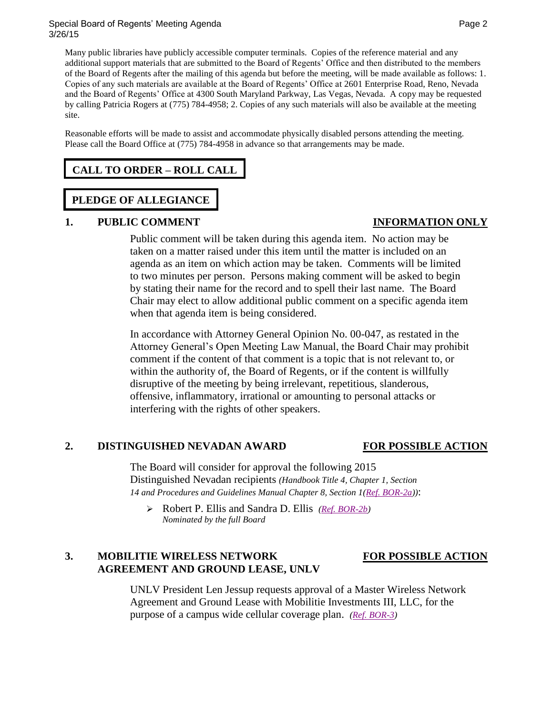#### Special Board of Regents' Meeting Agenda **Page 2** and 2008 and 2008 and 2008 and 2008 and 2008 and 2008 and 2008 3/26/15

Many public libraries have publicly accessible computer terminals. Copies of the reference material and any additional support materials that are submitted to the Board of Regents' Office and then distributed to the members of the Board of Regents after the mailing of this agenda but before the meeting, will be made available as follows: 1. Copies of any such materials are available at the Board of Regents' Office at 2601 Enterprise Road, Reno, Nevada and the Board of Regents' Office at 4300 South Maryland Parkway, Las Vegas, Nevada. A copy may be requested by calling Patricia Rogers at (775) 784-4958; 2. Copies of any such materials will also be available at the meeting site.

Reasonable efforts will be made to assist and accommodate physically disabled persons attending the meeting. Please call the Board Office at (775) 784-4958 in advance so that arrangements may be made.

## **CALL TO ORDER – ROLL CALL**

## **PLEDGE OF ALLEGIANCE**

### **1. PUBLIC COMMENT INFORMATION ONLY**

Public comment will be taken during this agenda item. No action may be taken on a matter raised under this item until the matter is included on an agenda as an item on which action may be taken. Comments will be limited to two minutes per person. Persons making comment will be asked to begin by stating their name for the record and to spell their last name. The Board Chair may elect to allow additional public comment on a specific agenda item when that agenda item is being considered.

In accordance with Attorney General Opinion No. 00-047, as restated in the Attorney General's Open Meeting Law Manual, the Board Chair may prohibit comment if the content of that comment is a topic that is not relevant to, or within the authority of, the Board of Regents, or if the content is willfully disruptive of the meeting by being irrelevant, repetitious, slanderous, offensive, inflammatory, irrational or amounting to personal attacks or interfering with the rights of other speakers.

### **2. DISTINGUISHED NEVADAN AWARD FOR POSSIBLE ACTION**

The Board will consider for approval the following 2015 Distinguished Nevadan recipients *(Handbook Title 4, Chapter 1, Section 14 and Procedures and Guidelines Manual Chapter 8, Section 1[\(Ref. BOR-2a\)](http://system.nevada.edu/tasks/sites/Nshe/assets/File/BoardOfRegents/Agendas/2015/mar-mtgs/specbor-refs/BOR%202a.pdf))*:

 Robert P. Ellis and Sandra D. Ellis *[\(Ref. BOR-2b\)](http://system.nevada.edu/tasks/sites/Nshe/assets/File/BoardOfRegents/Agendas/2015/mar-mtgs/specbor-refs/BOR%202b.pdf) Nominated by the full Board* 

## **3. MOBILITIE WIRELESS NETWORK FOR POSSIBLE ACTION AGREEMENT AND GROUND LEASE, UNLV**

UNLV President Len Jessup requests approval of a Master Wireless Network Agreement and Ground Lease with Mobilitie Investments III, LLC, for the purpose of a campus wide cellular coverage plan. *[\(Ref. BOR-3\)](http://system.nevada.edu/tasks/sites/Nshe/assets/File/BoardOfRegents/Agendas/2015/mar-mtgs/specbor-refs/BOR%203.pdf)*